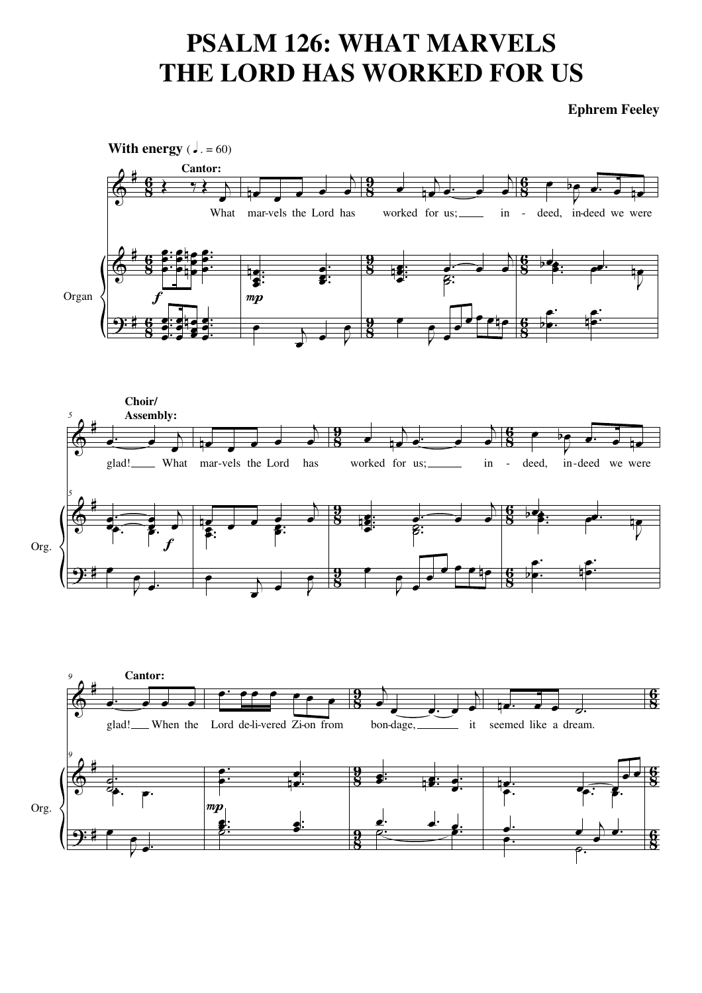## **PSALM 126: WHAT MARVELS** THE LORD HAS WORKED FOR US

**Ephrem Feeley** 

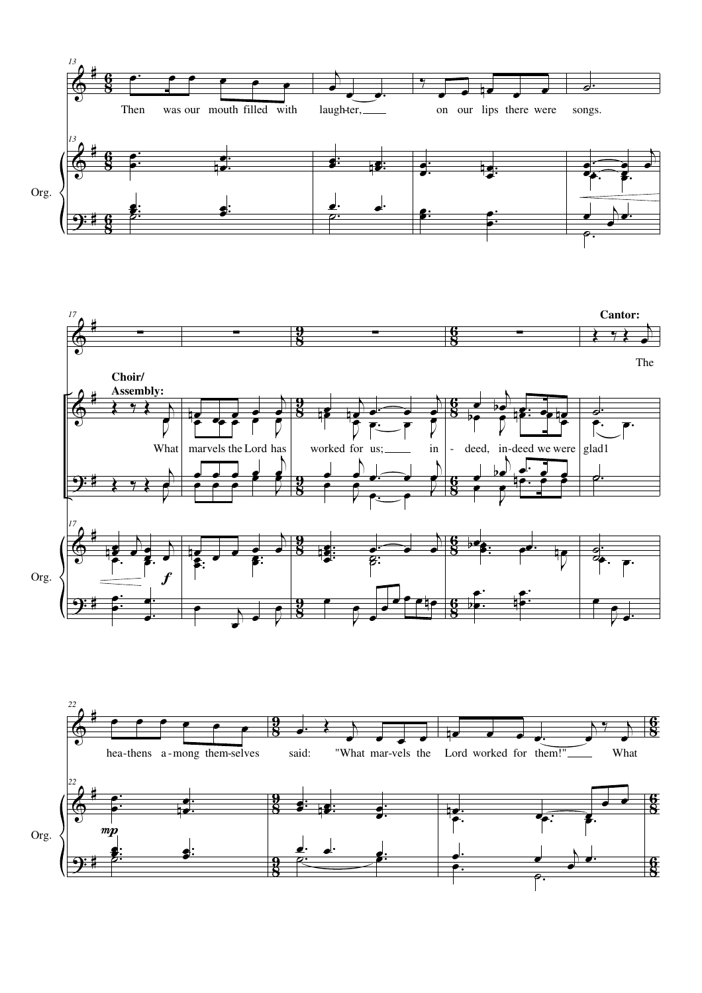